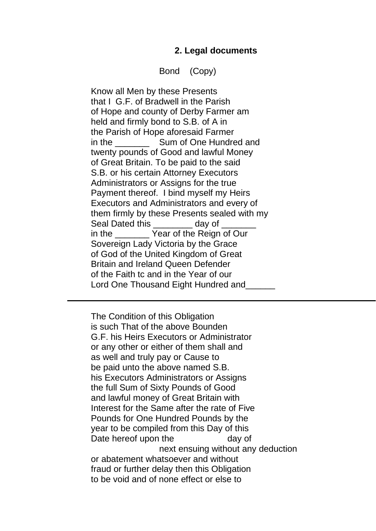### **2. Legal documents**

Bond (Copy)

Know all Men by these Presents that I G.F. of Bradwell in the Parish of Hope and county of Derby Farmer am held and firmly bond to S.B. of A in the Parish of Hope aforesaid Farmer in the **Sum of One Hundred and** twenty pounds of Good and lawful Money of Great Britain. To be paid to the said S.B. or his certain Attorney Executors Administrators or Assigns for the true Payment thereof. I bind myself my Heirs Executors and Administrators and every of them firmly by these Presents sealed with my Seal Dated this **Example 2** day of in the **Year of the Reign of Our** Sovereign Lady Victoria by the Grace of God of the United Kingdom of Great Britain and Ireland Queen Defender of the Faith tc and in the Year of our Lord One Thousand Eight Hundred and

The Condition of this Obligation is such That of the above Bounden G.F. his Heirs Executors or Administrator or any other or either of them shall and as well and truly pay or Cause to be paid unto the above named S.B. his Executors Administrators or Assigns the full Sum of Sixty Pounds of Good and lawful money of Great Britain with Interest for the Same after the rate of Five Pounds for One Hundred Pounds by the year to be compiled from this Day of this Date hereof upon the day of next ensuing without any deduction or abatement whatsoever and without fraud or further delay then this Obligation to be void and of none effect or else to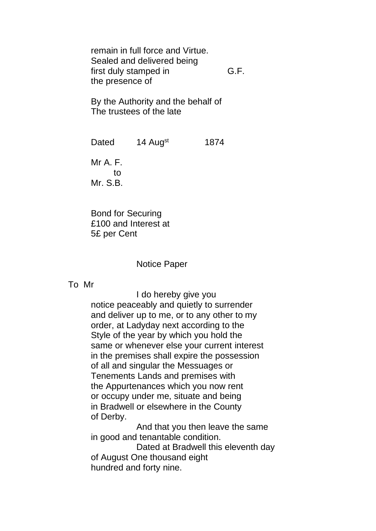remain in full force and Virtue. Sealed and delivered being first duly stamped in G.F. the presence of

By the Authority and the behalf of The trustees of the late

Dated 14 Augst 1874 Mr A. F. to Mr. S.B.

Bond for Securing £100 and Interest at 5£ per Cent

Notice Paper

To Mr

I do hereby give you

notice peaceably and quietly to surrender and deliver up to me, or to any other to my order, at Ladyday next according to the Style of the year by which you hold the same or whenever else your current interest in the premises shall expire the possession of all and singular the Messuages or Tenements Lands and premises with the Appurtenances which you now rent or occupy under me, situate and being in Bradwell or elsewhere in the County of Derby.

And that you then leave the same in good and tenantable condition.

Dated at Bradwell this eleventh day of August One thousand eight hundred and forty nine.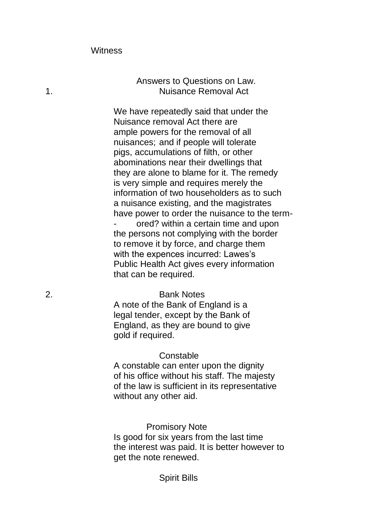# Answers to Questions on Law. 1. Nuisance Removal Act

We have repeatedly said that under the Nuisance removal Act there are ample powers for the removal of all nuisances; and if people will tolerate pigs, accumulations of filth, or other abominations near their dwellings that they are alone to blame for it. The remedy is very simple and requires merely the information of two householders as to such a nuisance existing, and the magistrates have power to order the nuisance to the term ored? within a certain time and upon the persons not complying with the border to remove it by force, and charge them with the expences incurred: Lawes's Public Health Act gives every information that can be required.

### 2. Bank Notes

A note of the Bank of England is a legal tender, except by the Bank of England, as they are bound to give gold if required.

### **Constable**

A constable can enter upon the dignity of his office without his staff. The majesty of the law is sufficient in its representative without any other aid.

 Promisory Note Is good for six years from the last time the interest was paid. It is better however to get the note renewed.

## Spirit Bills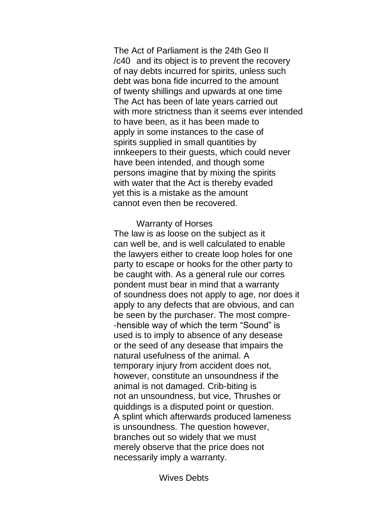The Act of Parliament is the 24th Geo II /c40 and its object is to prevent the recovery of nay debts incurred for spirits, unless such debt was bona fide incurred to the amount of twenty shillings and upwards at one time The Act has been of late years carried out with more strictness than it seems ever intended to have been, as it has been made to apply in some instances to the case of spirits supplied in small quantities by innkeepers to their guests, which could never have been intended, and though some persons imagine that by mixing the spirits with water that the Act is thereby evaded yet this is a mistake as the amount cannot even then be recovered.

#### Warranty of Horses

The law is as loose on the subject as it can well be, and is well calculated to enable the lawyers either to create loop holes for one party to escape or hooks for the other party to be caught with. As a general rule our corres pondent must bear in mind that a warranty of soundness does not apply to age, nor does it apply to any defects that are obvious, and can be seen by the purchaser. The most compre- -hensible way of which the term "Sound" is used is to imply to absence of any desease or the seed of any desease that impairs the natural usefulness of the animal. A temporary injury from accident does not, however, constitute an unsoundness if the animal is not damaged. Crib-biting is not an unsoundness, but vice, Thrushes or quiddings is a disputed point or question. A splint which afterwards produced lameness is unsoundness. The question however, branches out so widely that we must merely observe that the price does not necessarily imply a warranty.

Wives Debts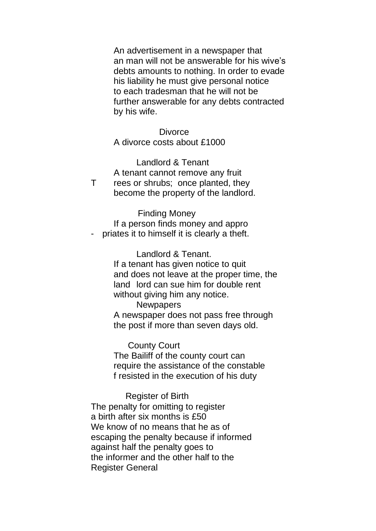An advertisement in a newspaper that an man will not be answerable for his wive's debts amounts to nothing. In order to evade his liability he must give personal notice to each tradesman that he will not be further answerable for any debts contracted by his wife.

**Divorce** A divorce costs about £1000

Landlord & Tenant A tenant cannot remove any fruit T rees or shrubs; once planted, they become the property of the landlord.

 Finding Money If a person finds money and appro priates it to himself it is clearly a theft.

> Landlord & Tenant. If a tenant has given notice to quit and does not leave at the proper time, the land lord can sue him for double rent without giving him any notice.

#### **Newpapers**

A newspaper does not pass free through the post if more than seven days old.

County Court

The Bailiff of the county court can require the assistance of the constable f resisted in the execution of his duty

 Register of Birth The penalty for omitting to register a birth after six months is £50 We know of no means that he as of escaping the penalty because if informed against half the penalty goes to the informer and the other half to the Register General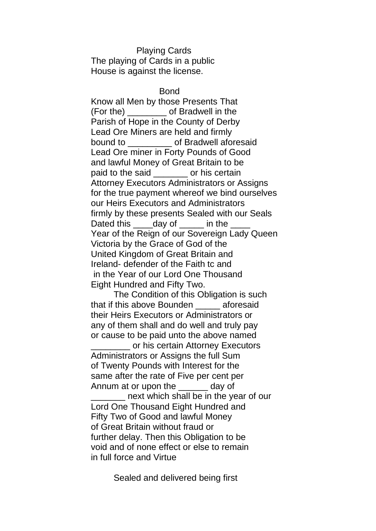Playing Cards The playing of Cards in a public House is against the license.

Bond

Know all Men by those Presents That (For the) \_\_\_\_\_\_\_\_ of Bradwell in the Parish of Hope in the County of Derby Lead Ore Miners are held and firmly bound to **bund** to **bund** to **bund** to **bund** to **bund** to **bund** to **bund** to **bund** to **bund** to **bund** to **bund** to **bund** to **bund** to **bund** to **bund** to **bund** to **bund** to **bund** to **bund** to **bunda** to **bunda** to Lead Ore miner in Forty Pounds of Good and lawful Money of Great Britain to be paid to the said \_\_\_\_\_\_\_ or his certain Attorney Executors Administrators or Assigns for the true payment whereof we bind ourselves our Heirs Executors and Administrators firmly by these presents Sealed with our Seals Dated this day of in the Year of the Reign of our Sovereign Lady Queen Victoria by the Grace of God of the United Kingdom of Great Britain and Ireland- defender of the Faith tc and in the Year of our Lord One Thousand Eight Hundred and Fifty Two.

The Condition of this Obligation is such that if this above Bounden aforesaid their Heirs Executors or Administrators or any of them shall and do well and truly pay or cause to be paid unto the above named

\_\_\_\_\_\_\_\_ or his certain Attorney Executors Administrators or Assigns the full Sum of Twenty Pounds with Interest for the same after the rate of Five per cent per Annum at or upon the day of

next which shall be in the year of our Lord One Thousand Eight Hundred and Fifty Two of Good and lawful Money of Great Britain without fraud or further delay. Then this Obligation to be void and of none effect or else to remain in full force and Virtue

Sealed and delivered being first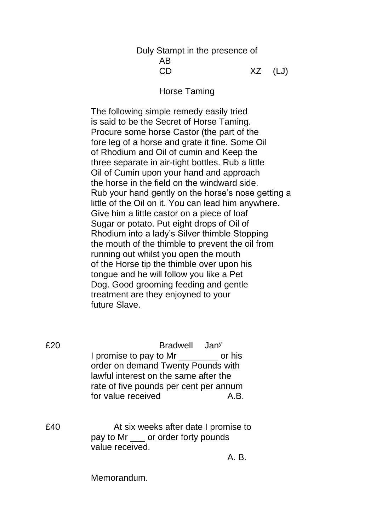# Duly Stampt in the presence of AB CD XZ (LJ)

Horse Taming

The following simple remedy easily tried is said to be the Secret of Horse Taming. Procure some horse Castor (the part of the fore leg of a horse and grate it fine. Some Oil of Rhodium and Oil of cumin and Keep the three separate in air-tight bottles. Rub a little Oil of Cumin upon your hand and approach the horse in the field on the windward side. Rub your hand gently on the horse's nose getting a little of the Oil on it. You can lead him anywhere. Give him a little castor on a piece of loaf Sugar or potato. Put eight drops of Oil of Rhodium into a lady's Silver thimble Stopping the mouth of the thimble to prevent the oil from running out whilst you open the mouth of the Horse tip the thimble over upon his tongue and he will follow you like a Pet Dog. Good grooming feeding and gentle treatment are they enjoyned to your future Slave.

£20 Bradwell Jan<sup>y</sup> I promise to pay to Mr cor his order on demand Twenty Pounds with lawful interest on the same after the rate of five pounds per cent per annum for value received A.B.

£40 At six weeks after date I promise to pay to Mr \_\_\_ or order forty pounds value received.

A. B.

Memorandum.